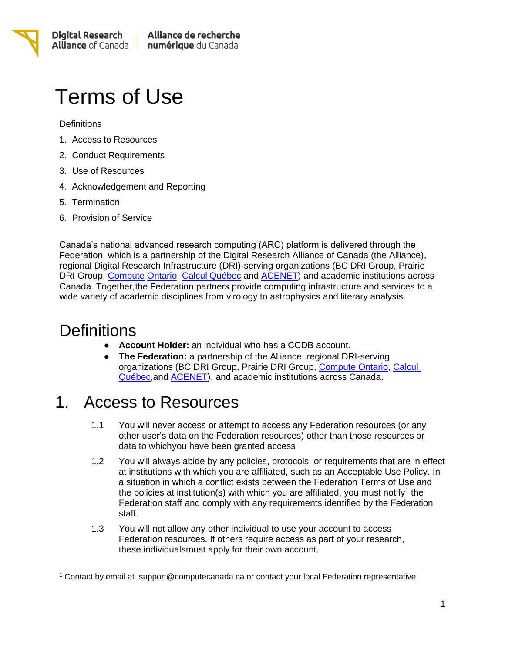# Terms of Use

**Definitions** 

- 1. Access to Resources
- 2. Conduct Requirements
- 3. Use of Resources
- 4. Acknowledgement and Reporting
- 5. Termination
- 6. Provision of Service

Canada's national advanced research computing (ARC) platform is delivered through the Federation, which is a partnership of the Digital Research Alliance of Canada (the Alliance), regional Digital Research Infrastructure (DRI)-serving organizations (BC DRI Group, Prairie DRI Group, [Compute](https://computeontario.ca/) [Ontario,](https://computeontario.ca/) Calcul [Québec](https://www.calculquebec.ca/en/) and [ACENET\)](https://www.ace-net.ca/) and academic institutions across Canada. Together,the Federation partners provide computing infrastructure and services to a wide variety of academic disciplines from virology to astrophysics and literary analysis.

## **Definitions**

- **Account Holder:** an individual who has a CCDB account.
- **The Federation:** a partnership of the Alliance, regional DRI-serving organizations (BC DRI Group, Prairie DRI Group, [Compute Ontario,](https://computeontario.ca/) Calcul [Québec,](https://www.calculquebec.ca/en/)and [ACENET\)](https://www.ace-net.ca/), and academic institutions across Canada.

## 1. Access to Resources

- 1.1 You will never access or attempt to access any Federation resources (or any other user's data on the Federation resources) other than those resources or data to whichyou have been granted access
- 1.2 You will always abide by any policies, protocols, or requirements that are in effect at institutions with which you are affiliated, such as an Acceptable Use Policy. In a situation in which a conflict exists between the Federation Terms of Use and the policies at institution(s) with which you are affiliated, you must notify<sup>1</sup> the Federation staff and comply with any requirements identified by the Federation staff.
- 1.3 You will not allow any other individual to use your account to access Federation resources. If others require access as part of your research, these individualsmust apply for their own account.

<sup>1</sup> Contact by email at [support@computecanada.ca](mailto:support@computecanada.ca) or contact your local Federation representative.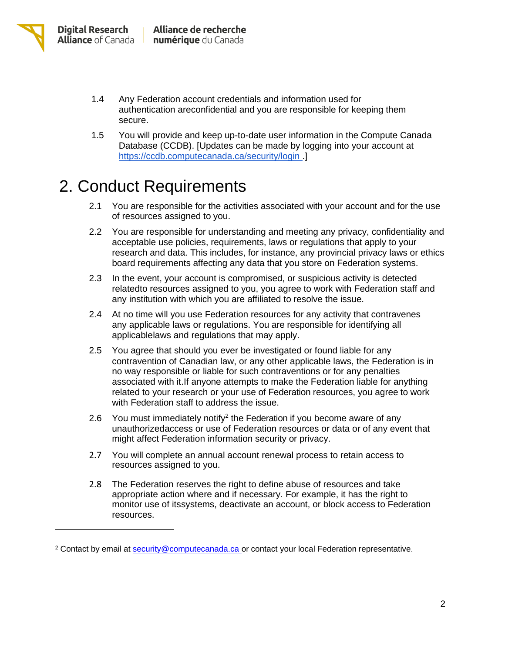- 1.4 Any Federation account credentials and information used for authentication areconfidential and you are responsible for keeping them secure.
- 1.5 You will provide and keep up-to-date user information in the Compute Canada Database (CCDB). [Updates can be made by logging into your account at <https://ccdb.computecanada.ca/security/login> .]

## 2. Conduct Requirements

- 2.1 You are responsible for the activities associated with your account and for the use of resources assigned to you.
- 2.2 You are responsible for understanding and meeting any privacy, confidentiality and acceptable use policies, requirements, laws or regulations that apply to your research and data. This includes, for instance, any provincial privacy laws or ethics board requirements affecting any data that you store on Federation systems.
- 2.3 In the event, your account is compromised, or suspicious activity is detected relatedto resources assigned to you, you agree to work with Federation staff and any institution with which you are affiliated to resolve the issue.
- 2.4 At no time will you use Federation resources for any activity that contravenes any applicable laws or regulations. You are responsible for identifying all applicablelaws and regulations that may apply.
- 2.5 You agree that should you ever be investigated or found liable for any contravention of Canadian law, or any other applicable laws, the Federation is in no way responsible or liable for such contraventions or for any penalties associated with it.If anyone attempts to make the Federation liable for anything related to your research or your use of Federation resources, you agree to work with Federation staff to address the issue.
- 2.6 You must immediately notify<sup>2</sup> the Federation if you become aware of any unauthorizedaccess or use of Federation resources or data or of any event that might affect Federation information security or privacy.
- 2.7 You will complete an annual account renewal process to retain access to resources assigned to you.
- 2.8 The Federation reserves the right to define abuse of resources and take appropriate action where and if necessary. For example, it has the right to monitor use of itssystems, deactivate an account, or block access to Federation resources.

<sup>2</sup> Contact by email at [security@computecanada.ca](mailto:) or contact your local Federation representative.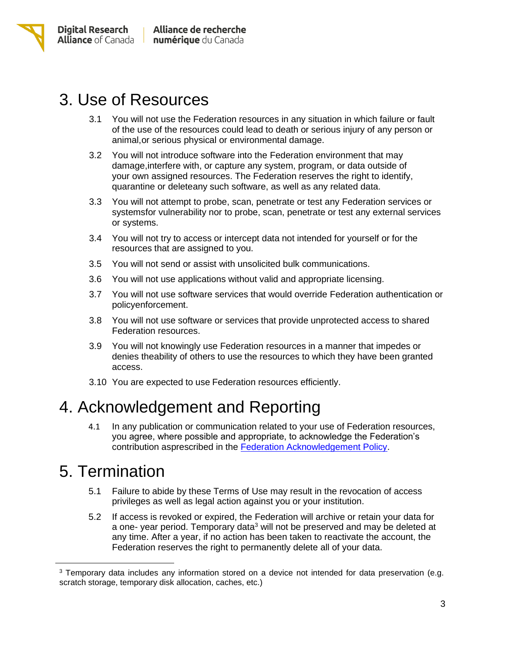

#### 3. Use of Resources

- 3.1 You will not use the Federation resources in any situation in which failure or fault of the use of the resources could lead to death or serious injury of any person or animal,or serious physical or environmental damage.
- 3.2 You will not introduce software into the Federation environment that may damage,interfere with, or capture any system, program, or data outside of your own assigned resources. The Federation reserves the right to identify, quarantine or deleteany such software, as well as any related data.
- 3.3 You will not attempt to probe, scan, penetrate or test any Federation services or systemsfor vulnerability nor to probe, scan, penetrate or test any external services or systems.
- 3.4 You will not try to access or intercept data not intended for yourself or for the resources that are assigned to you.
- 3.5 You will not send or assist with unsolicited bulk communications.
- 3.6 You will not use applications without valid and appropriate licensing.
- 3.7 You will not use software services that would override Federation authentication or policyenforcement.
- 3.8 You will not use software or services that provide unprotected access to shared Federation resources.
- 3.9 You will not knowingly use Federation resources in a manner that impedes or denies theability of others to use the resources to which they have been granted access.
- 3.10 You are expected to use Federation resources efficiently.

## 4. Acknowledgement and Reporting

4.1 In any publication or communication related to your use of Federation resources, you agree, where possible and appropriate, to acknowledge the Federation's contribution asprescribed in the [Federation Acknowledgement](https://alliancecan.ca/resource-allocation-competitions/acknowledging-the-alliance) Policy.

#### 5. Termination

- 5.1 Failure to abide by these Terms of Use may result in the revocation of access privileges as well as legal action against you or your institution.
- 5.2 If access is revoked or expired, the Federation will archive or retain your data for a one- year period. Temporary data<sup>3</sup> will not be preserved and may be deleted at any time. After a year, if no action has been taken to reactivate the account, the Federation reserves the right to permanently delete all of your data.

<sup>3</sup> Temporary data includes any information stored on a device not intended for data preservation (e.g. scratch storage, temporary disk allocation, caches, etc.)